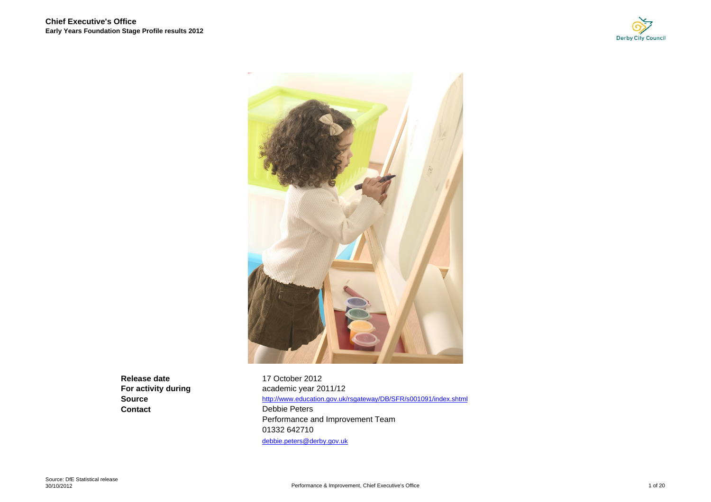



**Release dateSourceContact**

 17 October 2012 **For activity during academic year 2011/12**  http://www.education.gov.uk/rsgateway/DB/SFR/s001091/index.shtml Debbie Peters Performance and Improvement Team 01332 642710 debbie.peters@derby.gov.uk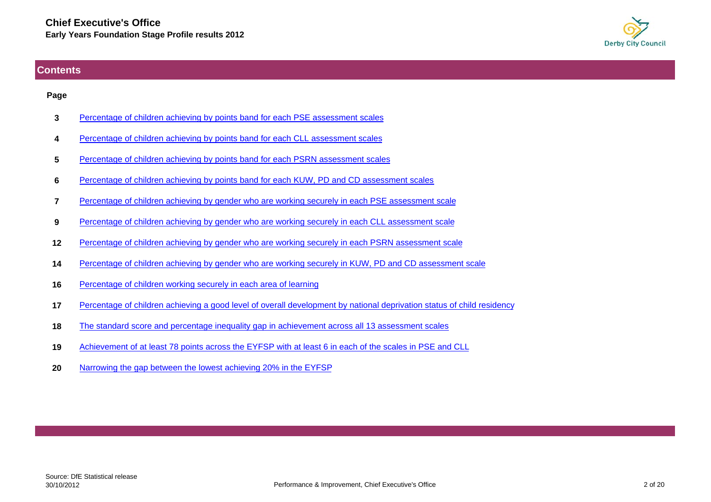

## <span id="page-1-0"></span>**Contents**

#### **Page**

- **3**[Percentage of children achieving by points band for each PSE assessment scales](#page-2-0)
- **4**[Percentage of children achieving by points band for each CLL assessment scales](#page-3-0)
- **5**[Percentage of children achieving by points band for each PSRN assessment scales](#page-4-0)
- **6**[Percentage of children achieving by points band for each KUW, PD and CD assessment scales](#page-5-0)
- **7**[Percentage of children achieving by gender who are working securely in each PSE assessment scale](#page-6-0)
- **9**[Percentage of children achieving by gender who are working securely in each CLL assessment scale](#page-8-0)
- **12**[Percentage of children achieving by gender who are working securely in each PSRN assessment scale](#page-11-0)
- **14**[Percentage of children achieving by gender who are working securely in KUW, PD and CD assessment scale](#page-13-0)
- **16**[Percentage of children working securely in each area of learning](#page-15-0)
- **17**[Percentage of children achieving a good level of overall development by national deprivation status of child residency](#page-16-0)
- **18**[The standard score and percentage inequality gap in achievement across all 13 assessment scales](#page-17-0)
- **19**[Achievement of at least 78 points across the EYFSP with at least 6 in each of the scales in PSE and CLL](#page-18-0)
- **20**[Narrowing the gap between the lowest achieving 20% in the EYFSP](#page-19-0)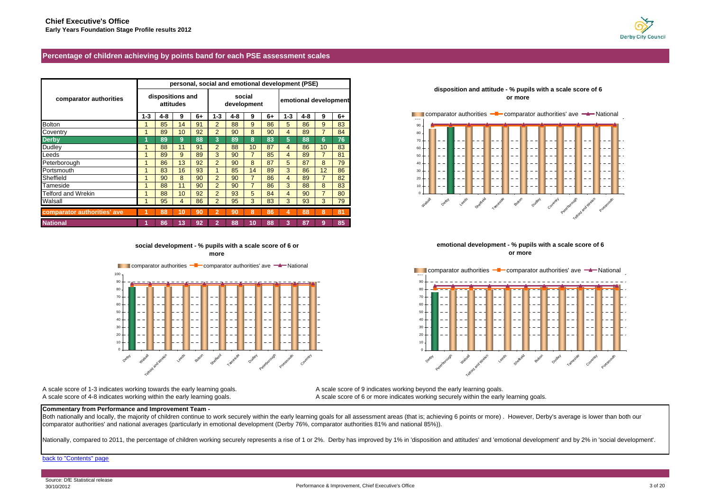

#### <span id="page-2-0"></span>**Percentage of children achieving by points band for each PSE assessment scales**

|                             |       | personal, social and emotional development (PSE) |                               |    |                       |     |                       |    |             |     |    |      |
|-----------------------------|-------|--------------------------------------------------|-------------------------------|----|-----------------------|-----|-----------------------|----|-------------|-----|----|------|
| comparator authorities      |       |                                                  | dispositions and<br>attitudes |    | social<br>development |     | emotional development |    |             |     |    |      |
|                             | $1-3$ | 4-8                                              | 9                             | 6+ | $1-3$                 | 4-8 | 9                     | 6+ | $1 - 3$     | 4-8 | 9  | $6+$ |
| <b>Bolton</b>               |       | 85                                               | 14                            | 91 |                       | 88  | 9                     | 86 | $5^{\circ}$ | 86  | 9  | 83   |
| Coventry                    |       | 89                                               | 10                            | 92 |                       | 90  | 8                     | 90 | 4           | 89  |    | 84   |
| <b>Derby</b>                |       | 89                                               | 9                             | 88 | 3                     | 89  | в                     | 83 | b.          | 88  | 6. | 76   |
| Dudley                      |       | 88                                               |                               | 91 | 2                     | 88  | 10 <sup>°</sup>       | 87 |             | 86  | 10 | 83   |
| Leeds                       |       | 89                                               | 9                             | 89 | 3                     | 90  |                       | 85 |             | 89  |    | 81   |
| Peterborough                |       | 86                                               | 13                            | 92 | 2                     | 90  | 8                     | 87 | 5.          | 87  | 8  | 79   |
| Portsmouth                  |       | 83                                               | 16                            | 93 |                       | 85  | 14                    | 89 | 3           | 86  | 12 | 86   |
| Sheffield                   |       | 90                                               | 8                             | 90 | $\mathcal{P}$         | 90  |                       | 86 | 4           | 89  |    | 82   |
| Tameside                    |       | 88                                               |                               | 90 | $\overline{2}$        | 90  |                       | 86 | 3           | 88  | 8  | 83   |
| Telford and Wrekin          |       | 88                                               | 10                            | 92 |                       | 93  |                       | 84 | 4           | 90  |    | 80   |
| Walsall                     |       | 95                                               |                               | 86 | $\mathcal{P}$         | 95  |                       | 83 | 3           | 93  | 3  | 79   |
| comparator authorities' ave |       | 88                                               | 10                            |    |                       | 90  |                       | 86 |             | 88  |    | 81   |
| <b>National</b>             |       | 86                                               | 13                            | 92 |                       | 88  | 10                    | 88 |             | 87  | 9  | 85   |

**social development - % pupils with a scale score of 6 or more**

**Comparator authorities**  $-\blacksquare$  comparator authorities' ave  $-\blacktriangle$  National

Leeds and Superborough Dudley Peterborough Portsmouth





**emotional development - % pupils with a scale score of 6 or more**



A scale score of 1-3 indicates working towards the early learning goals. A scale score of 9 indicates working beyond the early learning goals.

Detay Walsall

A scale score of 4-8 indicates working within the early learning goals. A scale score of 6 or more indicates working securely within the early learning goals.

#### **Commentary from Performance and Improvement Team -**

Both nationally and locally, the majority of children continue to work securely within the early learning goals for all assessment areas (that is; achieving 6 points or more). However, Derby's average is lower than both ou comparator authorities' and national averages (particularly in emotional development (Derby 76%, comparator authorities 81% and national 85%)).

Nationally, compared to 2011, the percentage of children working securely represents a rise of 1 or 2%. Derby has improved by 1% in 'disposition and attitudes' and 'emotional development' and by 2% in 'social development'.

#### [back to "Contents" page](#page-1-0)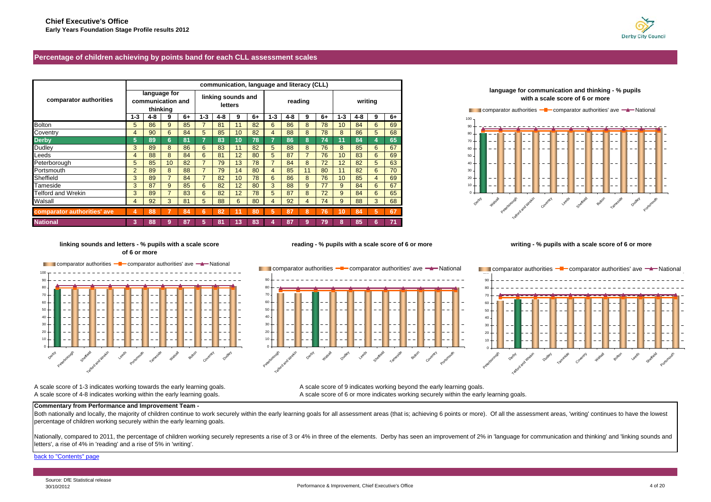

#### <span id="page-3-0"></span>**Percentage of children achieving by points band for each CLL assessment scales**

|                             |                |                                   | communication, language and literacy (CLL) |    |             |                               |                 |    |         |     |    |    |         |     |         |    |
|-----------------------------|----------------|-----------------------------------|--------------------------------------------|----|-------------|-------------------------------|-----------------|----|---------|-----|----|----|---------|-----|---------|----|
| comparator authorities      |                | language for<br>communication and | thinking                                   |    |             | linking sounds and<br>letters |                 |    | reading |     |    |    | writing |     |         |    |
|                             | 1-3            | 4-8                               |                                            | 6+ | $1 - 3$     | 4-8                           | 9               | 6+ | $1 - 3$ | 4-8 | 9  | 6+ | $1 - 3$ | 4-8 | 9       | 6+ |
| <b>Bolton</b>               | 5              | 86                                | 9                                          | 85 |             | 81                            |                 | 82 | 6       | 86  | 8  | 78 | 10      | 84  | 6       | 69 |
| Coventry                    |                | 90                                | 6                                          | 84 | $5^{\circ}$ | 85                            | 10              | 82 |         | 88  | 8  | 78 |         | 86  | $\circ$ | 68 |
| <b>Derby</b>                | 5              | 89                                |                                            | 81 |             | 83                            | 10              | 78 |         | 86  | 8  | 74 |         | 84  |         | 65 |
| Dudley                      | 3              | 89                                | 8                                          | 86 | 6           | 83                            |                 | 82 | 5       | 88  | 8  | 76 |         | 85  | b       | 67 |
| Leeds                       |                | 88                                | 8                                          | 84 | 6           | 81                            | 12              | 80 | 5       | 87  |    | 76 | 10      | 83  |         | 69 |
| Peterborough                | 5              | 85                                | 10                                         | 82 |             | 79                            | 13              | 78 |         | 84  | 8  | 72 |         | 82  |         | 63 |
| Portsmouth                  | $\overline{c}$ | 89                                |                                            | 88 |             | 79                            | 14              | 80 |         | 85  |    | 80 |         | 82  |         | 70 |
| Sheffield                   | 3              | 89                                |                                            | 84 |             | 82                            | 10 <sup>1</sup> | 78 | 6       | 86  | 8  | 76 | 10      | 85  |         | 69 |
| Tameside                    | 3              | 87                                | 9                                          | 85 | 6           | 82                            | 12              | 80 | 3       | 88  | 9  | 77 | 9       | 84  | 6       | 67 |
| Telford and Wrekin          | 3              | 89                                |                                            | 83 | 6           | 82                            | 12              | 78 | 5       | 87  | 8  | 72 | 9       | 84  |         | 65 |
| Walsall                     |                | 92                                |                                            | 81 | 5           | 88                            | 6               | 80 |         | 92  |    | 74 |         | 88  |         | 68 |
| comparator authorities' ave |                | 88                                |                                            | 84 |             | 82                            |                 | 80 | ъ.      | 87  | -8 | 76 | 10      | 84  | -5      | 67 |
| <b>National</b>             |                | 88                                |                                            | 87 |             | 81                            |                 | 83 |         | 87  |    | 79 |         | 85  |         |    |



#### **linking sounds and letters - % pupils with a scale score of 6 or more**

comparator authorities **- comparator authorities' ave -** National

Telford and Wrekin Leeds Portsmouth Tameside Walsall Bolton Dudley Dudley



**reading - % pupils with a scale score of 6 or more**

#### **writing - % pupils with a scale score of 6 or more**



A scale score of 1-3 indicates working towards the early learning goals. A scale score of 9 indicates working beyond the early learning goals. A scale score of 4-8 indicates working within the early learning goals. A scale score of 6 or more indicates working securely within the early learning goals.

#### **Commentary from Performance and Improvement Team -**

Both nationally and locally, the majority of children continue to work securely within the early learning goals for all assessment areas (that is; achieving 6 points or more). Of all the assessment areas, 'writing' continu percentage of children working securely within the early learning goals.

Nationally, compared to 2011, the percentage of children working securely represents a rise of 3 or 4% in three of the elements. Derby has seen an improvement of 2% in 'language for communication and thinking' and 'linking letters', a rise of 4% in 'reading' and a rise of 5% in 'writing'.

[back to "Contents" page](#page-1-0)

Oeroy

Sheffield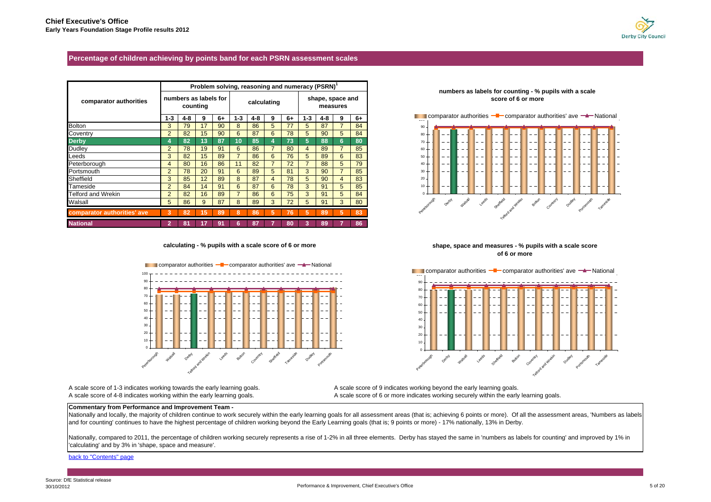

#### <span id="page-4-0"></span>**Percentage of children achieving by points band for each PSRN assessment scales**

|                             |                |                       |          |    |         |             |   | Problem solving, reasoning and numeracy (PSRN) |       |                  |                |      |
|-----------------------------|----------------|-----------------------|----------|----|---------|-------------|---|------------------------------------------------|-------|------------------|----------------|------|
| comparator authorities      |                | numbers as labels for | counting |    |         | calculating |   |                                                |       | shape, space and | measures       |      |
|                             | $1 - 3$        | 4-8                   | 9        | 6+ | $1 - 3$ | 4-8         | 9 | 6+                                             | $1-3$ | 4-8              | 9              | $6+$ |
| <b>Bolton</b>               | 3              | 79                    | 17       | 90 | 8       | 86          | 5 | 77                                             | 5     | 87               |                | 84   |
| Coventry                    | $\overline{2}$ | 82                    | 15       | 90 | 6       | 87          | 6 | 78                                             | 5     | 90               | 5              | 84   |
| <b>Derby</b>                | 4              | 82                    | 13       | 87 | 10      | 85          |   | 73                                             | 5     | 88               | 6              | 80   |
| Dudley                      | $\overline{2}$ | 78                    | 19       | 91 | 6       | 86          |   | 80                                             | 4     | 89               | 7              | 85   |
| Leeds                       | 3              | 82                    | 15       | 89 |         | 86          | 6 | 76                                             | 5     | 89               | 6              | 83   |
| Peterborough                | 4              | 80                    | 16       | 86 | 11      | 82          |   | 72                                             |       | 88               | 5              | 79   |
| Portsmouth                  | $\overline{2}$ | 78                    | 20       | 91 | 6       | 89          | 5 | 81                                             | 3     | 90               | $\overline{7}$ | 85   |
| Sheffield                   | 3              | 85                    | 12       | 89 | 8       | 87          | 4 | 78                                             | 5     | 90               | $\overline{4}$ | 83   |
| Tameside                    | $\overline{2}$ | 84                    | 14       | 91 | 6       | 87          | 6 | 78                                             | 3     | 91               | 5              | 85   |
| <b>Telford and Wrekin</b>   | $\overline{2}$ | 82                    | 16       | 89 |         | 86          | 6 | 75                                             | 3     | 91               | 5              | 84   |
| Walsall                     | 5              | 86                    | 9        | 87 | 8       | 89          | 3 | 72                                             | 5     | 91               | 3              | 80   |
| comparator authorities' ave | 3              | 82                    | 15       | 89 | 8       | 86          | 5 | 76                                             | 5     | 89               | 5              | 83   |
| <b>National</b>             | 2              | 81                    |          | 91 | հ       | 87          |   | 80                                             |       | 89               |                | 86   |

**calculating - % pupils with a scale score of 6 or more**



A scale score of 1-3 indicates working towards the early learning goals. A scale score of 9 indicates working beyond the early learning goals.

A scale score of 4-8 indicates working within the early learning goals. A scale score of 6 or more indicates working securely within the early learning goals.

#### **Commentary from Performance and Improvement Team -**

Nationally and locally, the majority of children continue to work securely within the early learning goals for all assessment areas (that is; achieving 6 points or more). Of all the assessment areas, 'Numbers as labels and for counting' continues to have the highest percentage of children working beyond the Early Learning goals (that is; 9 points or more) - 17% nationally, 13% in Derby.

Nationally, compared to 2011, the percentage of children working securely represents a rise of 1-2% in all three elements. Derby has stayed the same in 'numbers as labels for counting' and improved by 1% in 'calculating' and by 3% in 'shape, space and measure'.

[back to "Contents" page](#page-1-0)

1020 304050607080  $90$ **Comparator authorities - Comparator authorities' ave - National** Oetoy Walsall Degree Graphique Bolton Colected and West Portember 1 and Best

**shape, space and measures - % pupils with a scale score of 6 or more**

#### **numbers as labels for counting - % pupils with a scale score of 6 or more**

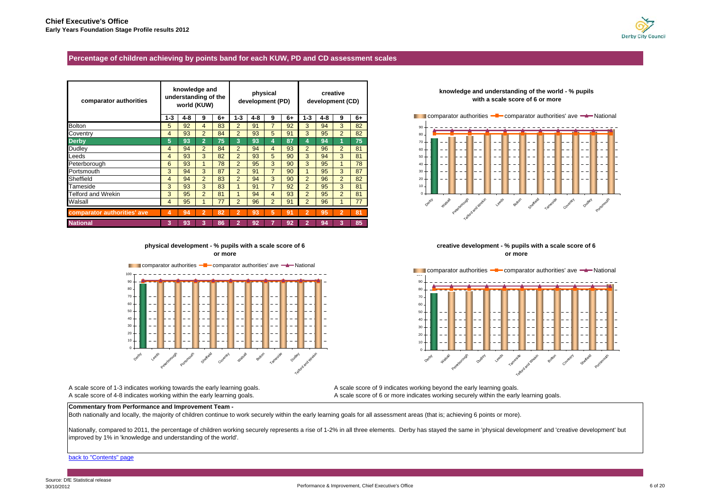

#### <span id="page-5-0"></span>**Percentage of children achieving by points band for each KUW, PD and CD assessment scales**

| comparator authorities      |       | knowledge and<br>understanding of the<br>world (KUW) |                |    |                | development (PD) | physical       |    |                | development (CD) | creative       |      |
|-----------------------------|-------|------------------------------------------------------|----------------|----|----------------|------------------|----------------|----|----------------|------------------|----------------|------|
|                             | $1-3$ | 4-8                                                  | 9              | 6+ | $1 - 3$        | 4-8              | 9              | 6+ | $1 - 3$        | 4-8              | 9              | $6+$ |
| <b>Bolton</b>               | 5     | 92                                                   | 4              | 83 | $\overline{2}$ | 91               |                | 92 | 3              | 94               | 3              | 82   |
| Coventry                    | 4     | 93                                                   | $\overline{2}$ | 84 | $\overline{2}$ | 93               | 5              | 91 | 3              | 95               | 2              | 82   |
| <b>Derby</b>                | 5     | 93                                                   | $\overline{2}$ | 75 | 3              | 93               |                | 87 |                | 94               |                | 75   |
| <b>Dudley</b>               | 4     | 94                                                   | $\overline{2}$ | 84 | $\overline{2}$ | 94               | 4              | 93 | $\overline{2}$ | 96               | $\overline{2}$ | 81   |
| Leeds                       | 4     | 93                                                   | 3              | 82 | $\overline{2}$ | 93               | 5              | 90 | 3              | 94               | 3              | 81   |
| Peterborough                | 6     | 93                                                   |                | 78 | $\overline{2}$ | 95               | 3              | 90 | 3              | 95               |                | 78   |
| Portsmouth                  | 3     | 94                                                   | 3              | 87 | $\overline{2}$ | 91               |                | 90 |                | 95               | 3              | 87   |
| Sheffield                   | 4     | 94                                                   | $\overline{2}$ | 83 | $\overline{2}$ | 94               | 3              | 90 | $\overline{2}$ | 96               | 2              | 82   |
| Tameside                    | 3     | 93                                                   | 3              | 83 |                | 91               |                | 92 | $\overline{2}$ | 95               | 3              | 81   |
| <b>Telford and Wrekin</b>   | 3     | 95                                                   | $\overline{2}$ | 81 |                | 94               | 4              | 93 | $\overline{2}$ | 95               | $\overline{2}$ | 81   |
| Walsall                     | 4     | 95                                                   |                | 77 | $\overline{2}$ | 96               | $\overline{2}$ | 91 | $\overline{2}$ | 96               |                | 77   |
| comparator authorities' ave | 4     | 94                                                   |                | 82 |                | 93               | 5              | 91 |                | 95               | $\overline{2}$ | 81/  |
| <b>National</b>             | 3     | 93                                                   |                | 86 |                | 92               |                | 92 |                | 94               |                | 85   |

## **with a scale score of 6 or more**

**knowledge and understanding of the world - % pupils** 



#### **physical development - % pupils with a scale score of 6 or more**



A scale score of 1-3 indicates working towards the early learning goals. A scale score of 9 indicates working beyond the early learning goals.

**creative development - % pupils with a scale score of 6 or more**



A scale score of 4-8 indicates working within the early learning goals. A scale score of 6 or more indicates working securely within the early learning goals.

#### **Commentary from Performance and Improvement Team -**

Both nationally and locally, the majority of children continue to work securely within the early learning goals for all assessment areas (that is; achieving 6 points or more).

Nationally, compared to 2011, the percentage of children working securely represents a rise of 1-2% in all three elements. Derby has stayed the same in 'physical development' and 'creative development' but improved by 1% in 'knowledge and understanding of the world'.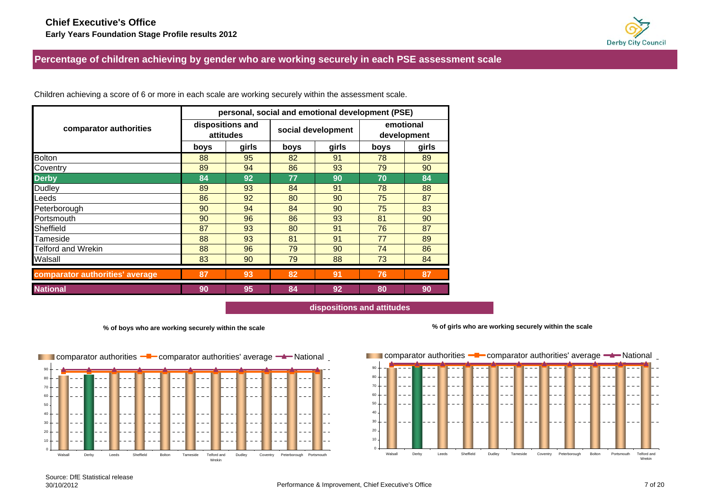

<span id="page-6-0"></span>**Percentage of children achieving by gender who are working securely in each PSE assessment scale**

|                                 |      |                               |      | personal, social and emotional development (PSE) |                          |       |  |
|---------------------------------|------|-------------------------------|------|--------------------------------------------------|--------------------------|-------|--|
| comparator authorities          |      | dispositions and<br>attitudes |      | social development                               | emotional<br>development |       |  |
|                                 | boys | girls                         | boys | girls                                            | boys                     | girls |  |
| <b>Bolton</b>                   | 88   | 95                            | 82   | 91                                               | 78                       | 89    |  |
| Coventry                        | 89   | 94                            | 86   | 93                                               | 79                       | 90    |  |
| <b>Derby</b>                    | 84   | 92                            | 77   | 90                                               | 70                       | 84    |  |
| <b>Dudley</b>                   | 89   | 93                            | 84   | 91                                               | 78                       | 88    |  |
| Leeds                           | 86   | 92                            | 80   | 90                                               | 75                       | 87    |  |
| Peterborough                    | 90   | 94                            | 84   | 90                                               | 75                       | 83    |  |
| Portsmouth                      | 90   | 96                            | 86   | 93                                               | 81                       | 90    |  |
| Sheffield                       | 87   | 93                            | 80   | 91                                               | 76                       | 87    |  |
| Tameside                        | 88   | 93                            | 81   | 91                                               | 77                       | 89    |  |
| Telford and Wrekin              | 88   | 96                            | 79   | 90                                               | 74                       | 86    |  |
| Walsall                         | 83   | 90                            | 79   | 88                                               | 73                       | 84    |  |
| comparator authorities' average | 87   | 93                            | 82   | 91                                               | 76                       | 87    |  |
| <b>National</b>                 | 90   | 95                            | 84   | 92                                               | 80                       | 90    |  |

Children achieving a score of 6 or more in each scale are working securely within the assessment scale.

**dispositions and attitudes**

**% of boys who are working securely within the scale**



**% of girls who are working securely within the scale**

**100 comparator authorities <sup>-1</sup>** comparator authorities' average <sup>-1</sup> Mational

102030 4050607080 90Walsall Derby Leeds Sheffield Dudley Tameside Coventry Peterborough Bolton Portsmouth Telford and Wrekin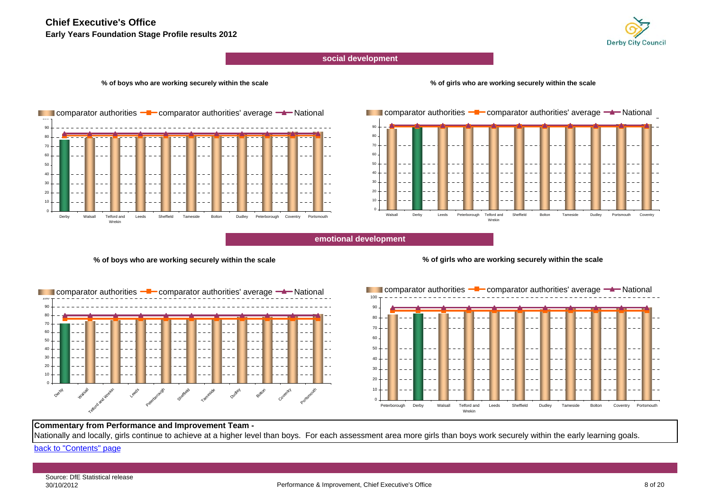## **Chief Executive's Office**

**Early Years Foundation Stage Profile results 2012**



#### **social development**

#### **% of boys who are working securely within the scale**

#### **% of girls who are working securely within the scale**



2030 4050 60708090Walsall Derby Leeds Peterborough Telford and WrekinSheffield Bolton Tameside Dudley Portsmouth Coventry **Comparator authorities**  $-\blacksquare$  comparator authorities' average  $-\blacktriangle$  National

#### **emotional development**

#### **% of boys who are working securely within the scale**

#### **% of girls who are working securely within the scale**





#### **Commentary from Performance and Improvement Team -**

Nationally and locally, girls continue to achieve at a higher level than boys. For each assessment area more girls than boys work securely within the early learning goals.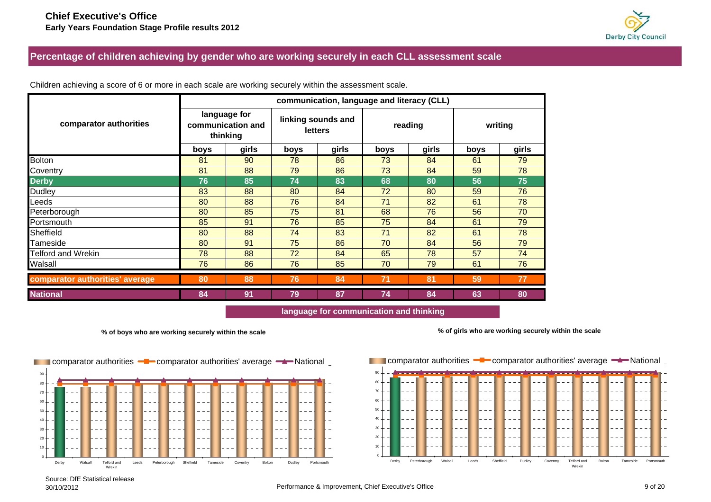

## <span id="page-8-0"></span>**Percentage of children achieving by gender who are working securely in each CLL assessment scale**

|                                 |      | communication, language and literacy (CLL)    |      |                                      |      |         |         |       |  |  |  |  |  |  |  |
|---------------------------------|------|-----------------------------------------------|------|--------------------------------------|------|---------|---------|-------|--|--|--|--|--|--|--|
| comparator authorities          |      | language for<br>communication and<br>thinking |      | linking sounds and<br><b>letters</b> |      | reading | writing |       |  |  |  |  |  |  |  |
|                                 | boys | girls                                         | boys | girls                                | boys | girls   | boys    | girls |  |  |  |  |  |  |  |
| <b>Bolton</b>                   | 81   | 90                                            | 78   | 86                                   | 73   | 84      | 61      | 79    |  |  |  |  |  |  |  |
| Coventry                        | 81   | 88                                            | 79   | 86                                   | 73   | 84      | 59      | 78    |  |  |  |  |  |  |  |
| <b>Derby</b>                    | 76   | 85                                            | 74   | 83                                   | 68   | 80      | 56      | 75    |  |  |  |  |  |  |  |
| Dudley                          | 83   | 88                                            | 80   | 84                                   | 72   | 80      | 59      | 76    |  |  |  |  |  |  |  |
| Leeds                           | 80   | 88                                            | 76   | 84                                   | 71   | 82      | 61      | 78    |  |  |  |  |  |  |  |
| Peterborough                    | 80   | 85                                            | 75   | 81                                   | 68   | 76      | 56      | 70    |  |  |  |  |  |  |  |
| Portsmouth                      | 85   | 91                                            | 76   | 85                                   | 75   | 84      | 61      | 79    |  |  |  |  |  |  |  |
| Sheffield                       | 80   | 88                                            | 74   | 83                                   | 71   | 82      | 61      | 78    |  |  |  |  |  |  |  |
| Tameside                        | 80   | 91                                            | 75   | 86                                   | 70   | 84      | 56      | 79    |  |  |  |  |  |  |  |
| <b>Telford and Wrekin</b>       | 78   | 88                                            | 72   | 84                                   | 65   | 78      | 57      | 74    |  |  |  |  |  |  |  |
| Walsall                         | 76   | 86                                            | 76   | 85                                   | 70   | 79      | 61      | 76    |  |  |  |  |  |  |  |
| comparator authorities' average | 80   | 88                                            | 76   | 84                                   | 71   | 81      | 59      | 77    |  |  |  |  |  |  |  |
| <b>National</b>                 | 84   | 91                                            | 79   | 87                                   | 74   | 84      | 63      | 80    |  |  |  |  |  |  |  |

Children achieving a score of 6 or more in each scale are working securely within the assessment scale.

**language for communication and thinking**

**% of boys who are working securely within the scale**





**% of girls who are working securely within the scale**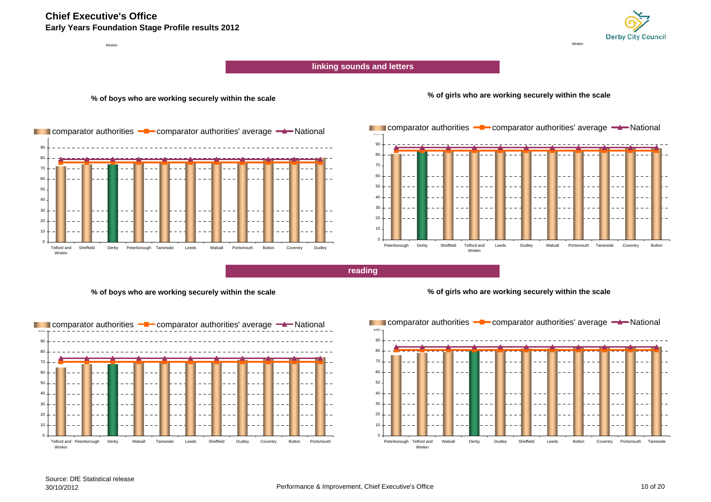## **Chief Executive's Office**

**Early Years Foundation Stage Profile results 2012**

Wrekinn and a state of the state of the state of the state of the state of the state of the state of the state of the state of the state of the state of the state of the state of the state of the state of the state of the state



**linking sounds and letters**

**% of boys who are working securely within the scale**







**reading**

#### **% of boys who are working securely within the scale**



**% of girls who are working securely within the scale**

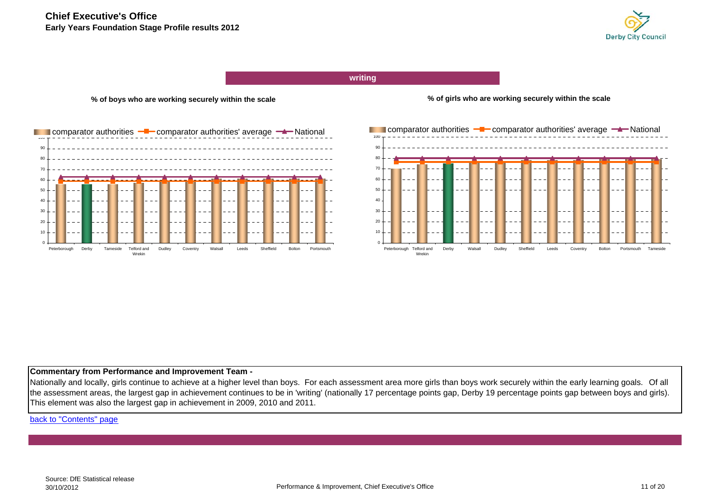

**writing**



**% of boys who are working securely within the scale**

**% of girls who are working securely within the scale**



#### **Commentary from Performance and Improvement Team -**

Nationally and locally, girls continue to achieve at a higher level than boys. For each assessment area more girls than boys work securely within the early learning goals. Of all the assessment areas, the largest gap in achievement continues to be in 'writing' (nationally 17 percentage points gap, Derby 19 percentage points gap between boys and girls). This element was also the largest gap in achievement in 2009, 2010 and 2011.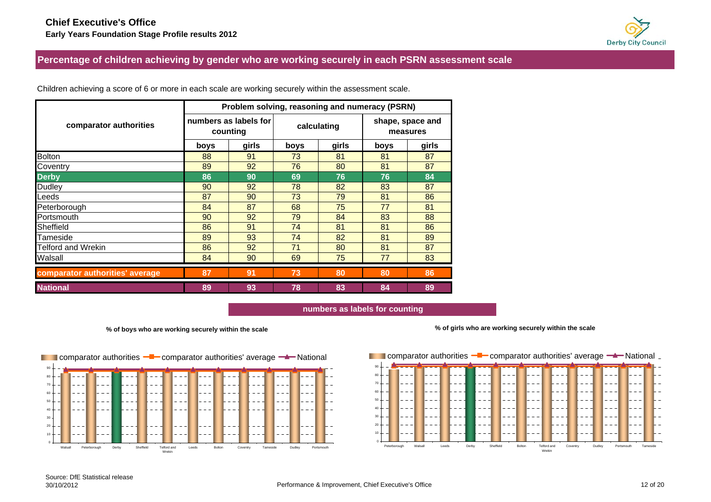

## <span id="page-11-0"></span>**Percentage of children achieving by gender who are working securely in each PSRN assessment scale**

|                                 |          | Problem solving, reasoning and numeracy (PSRN) |      |             |                              |       |  |  |  |  |  |  |  |
|---------------------------------|----------|------------------------------------------------|------|-------------|------------------------------|-------|--|--|--|--|--|--|--|
| comparator authorities          | counting | numbers as labels for                          |      | calculating | shape, space and<br>measures |       |  |  |  |  |  |  |  |
|                                 | boys     | girls                                          | boys | girls       | boys                         | girls |  |  |  |  |  |  |  |
| <b>Bolton</b>                   | 88       | 91                                             | 73   | 81          | 81                           | 87    |  |  |  |  |  |  |  |
| Coventry                        | 89       | 92                                             | 76   | 80          | 81                           | 87    |  |  |  |  |  |  |  |
| <b>Derby</b>                    | 86       | 90                                             | 69   | 76          | 76                           | 84    |  |  |  |  |  |  |  |
| Dudley                          | 90       | 92                                             | 78   | 82          | 83                           | 87    |  |  |  |  |  |  |  |
| Leeds                           | 87       | 90                                             | 73   | 79          | 81                           | 86    |  |  |  |  |  |  |  |
| Peterborough                    | 84       | 87                                             | 68   | 75          | 77                           | 81    |  |  |  |  |  |  |  |
| Portsmouth                      | 90       | 92                                             | 79   | 84          | 83                           | 88    |  |  |  |  |  |  |  |
| Sheffield                       | 86       | 91                                             | 74   | 81          | 81                           | 86    |  |  |  |  |  |  |  |
| <b>Tameside</b>                 | 89       | 93                                             | 74   | 82          | 81                           | 89    |  |  |  |  |  |  |  |
| <b>Telford and Wrekin</b>       | 86       | 92                                             | 71   | 80          | 81                           | 87    |  |  |  |  |  |  |  |
| Walsall                         | 84       | 90                                             | 69   | 75          | 77                           | 83    |  |  |  |  |  |  |  |
| comparator authorities' average | 87       | 91                                             | 73   | 80          | 80                           | 86    |  |  |  |  |  |  |  |
| <b>National</b>                 | 89       | 93                                             | 78   | 83          | 84                           | 89    |  |  |  |  |  |  |  |

Children achieving a score of 6 or more in each scale are working securely within the assessment scale.

**numbers as labels for counting**

90

**% of boys who are working securely within the scale**



**% of girls who are working securely within the scale**

**100 comparator authorities <sup>-1</sup>** comparator authorities' average <sup>-1</sup> National

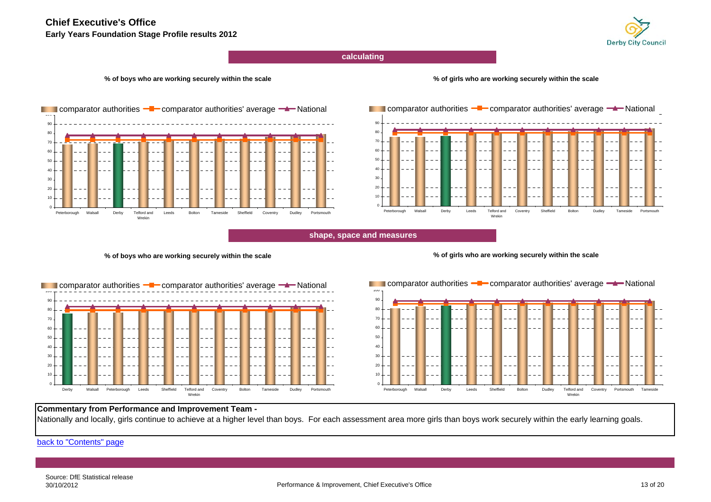## **Chief Executive's Office**

**Early Years Foundation Stage Profile results 2012**



**calculating**

#### **% of boys who are working securely within the scale**

#### **% of girls who are working securely within the scale**





**shape, space and measures**

#### **% of boys who are working securely within the scale**





#### 1020304050607080 90100Peterborough Walsall Derby Leeds Sheffield Bolton Dudley Telford and WrekinCoventry Portsmouth Tameside **Comparator authorities**  $-\blacksquare$  comparator authorities' average  $-\blacktriangle$  National

#### **Commentary from Performance and Improvement Team -**

Nationally and locally, girls continue to achieve at a higher level than boys. For each assessment area more girls than boys work securely within the early learning goals.

[back to "Contents" page](#page-1-0)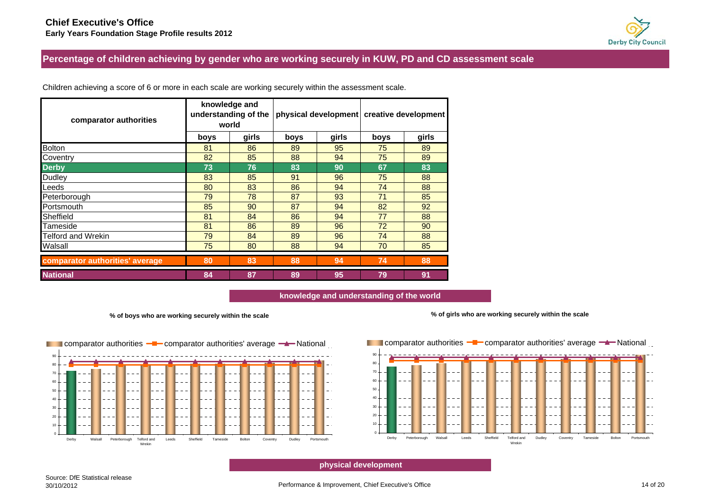# **Derby City Council**

<span id="page-13-0"></span>**Percentage of children achieving by gender who are working securely in KUW, PD and CD assessment scale**

| comparator authorities          |      | knowledge and<br>understanding of the<br>world |      |       | physical development creative development |       |  |
|---------------------------------|------|------------------------------------------------|------|-------|-------------------------------------------|-------|--|
|                                 | boys | girls                                          | boys | girls | boys                                      | girls |  |
| <b>Bolton</b>                   | 81   | 86                                             | 89   | 95    | 75                                        | 89    |  |
| Coventry                        | 82   | 85                                             | 88   | 94    | 75                                        | 89    |  |
| <b>Derby</b>                    | 73   | 76                                             | 83   | 90    | 67                                        | 83    |  |
| Dudley                          | 83   | 85                                             | 91   | 96    | 75                                        | 88    |  |
| Leeds                           | 80   | 83                                             | 86   | 94    | 74                                        | 88    |  |
| Peterborough                    | 79   | 78                                             | 87   | 93    | 71                                        | 85    |  |
| Portsmouth                      | 85   | 90                                             | 87   | 94    | 82                                        | 92    |  |
| Sheffield                       | 81   | 84                                             | 86   | 94    | 77                                        | 88    |  |
| Tameside                        | 81   | 86                                             | 89   | 96    | 72                                        | 90    |  |
| Telford and Wrekin              | 79   | 84                                             | 89   | 96    | 74                                        | 88    |  |
| Walsall                         | 75   | 80                                             | 88   | 94    | 70                                        | 85    |  |
| comparator authorities' average | 80   | 83                                             | 88   | 94    | 74                                        | 88    |  |
| <b>National</b>                 | 84   | 87                                             | 89   | 95    | 79                                        | 91    |  |

Children achieving a score of 6 or more in each scale are working securely within the assessment scale.

**knowledge and understanding of the world**

#### **% of boys who are working securely within the scale**







**physical development**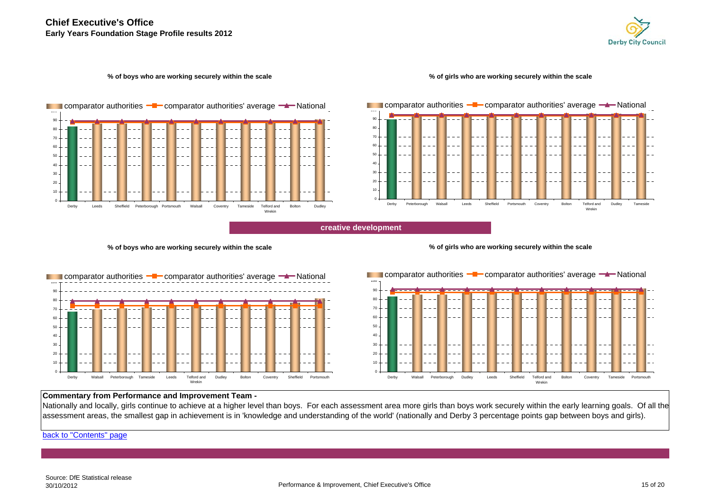

#### **% of boys who are working securely within the scale**

#### **% of girls who are working securely within the scale**



20405060708090**■ I** comparator authorities –■ comparator authorities' average –▲ National Derby Peterborough Walsall Leeds Sheffield Portsmouth Coventry Bolton Telford and WrekinDudley Tameside

**creative development**

#### **% of boys who are working securely within the scale**







## **Commentary from Performance and Improvement Team -**

Nationally and locally, girls continue to achieve at a higher level than boys. For each assessment area more girls than boys work securely within the early learning goals. Of all the assessment areas, the smallest gap in achievement is in 'knowledge and understanding of the world' (nationally and Derby 3 percentage points gap between boys and girls).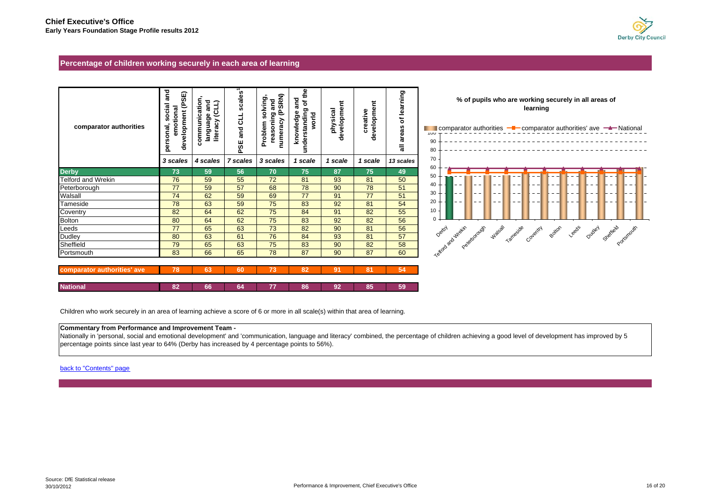

#### <span id="page-15-0"></span>**Percentage of children working securely in each area of learning**

| comparator authorities      | nd<br>and<br>(PSE)<br>social<br>emotional<br>development<br>personal, | communication<br>and<br>literacy (CLL)<br>language | scales'<br>and CLL<br>PSE | numeracy (PSRN)<br>solving,<br>reasoning and<br>Problem | ء<br>ڇ<br>and<br>৳<br>understanding<br>knowledge<br>world | development<br>physical | development<br>creative | of learning<br>areas<br>ಕ | % of pupils who are workin<br>learr<br>$\blacksquare$ comparator authorities $\blacksquare$ comp<br>טעו<br>90<br>80 |
|-----------------------------|-----------------------------------------------------------------------|----------------------------------------------------|---------------------------|---------------------------------------------------------|-----------------------------------------------------------|-------------------------|-------------------------|---------------------------|---------------------------------------------------------------------------------------------------------------------|
|                             | 3 scales                                                              | 4 scales                                           | 7 scales                  | 3 scales                                                | 1 scale                                                   | 1 scale                 | 1 scale                 | 13 scales                 | 70                                                                                                                  |
| <b>Derby</b>                | 73                                                                    | 59                                                 | 56                        | 70                                                      | 75                                                        | 87                      | 75                      | 49                        | 60<br>50                                                                                                            |
| <b>Telford and Wrekin</b>   | 76                                                                    | 59                                                 | 55                        | 72                                                      | 81                                                        | 93                      | 81                      | 50                        |                                                                                                                     |
| Peterborough                | 77                                                                    | 59                                                 | 57                        | 68                                                      | 78                                                        | 90                      | 78                      | 51                        | 40                                                                                                                  |
| Walsall                     | 74                                                                    | 62                                                 | 59                        | 69                                                      | 77                                                        | 91                      | 77                      | 51                        | 30                                                                                                                  |
| Tameside                    | 78                                                                    | 63                                                 | 59                        | 75                                                      | 83                                                        | 92                      | 81                      | 54                        | 20                                                                                                                  |
| Coventry                    | 82                                                                    | 64                                                 | 62                        | 75                                                      | 84                                                        | 91                      | 82                      | 55                        | 10                                                                                                                  |
| <b>Bolton</b>               | 80                                                                    | 64                                                 | 62                        | 75                                                      | 83                                                        | 92                      | 82                      | 56                        | $\Omega$                                                                                                            |
| Leeds                       | 77                                                                    | 65                                                 | 63                        | 73                                                      | 82                                                        | 90                      | 81                      | 56                        | Watsall<br>Peterborough<br>Tameside                                                                                 |
| <b>Dudley</b>               | 80                                                                    | 63                                                 | 61                        | 76                                                      | 84                                                        | 93                      | 81                      | 57                        | Cover                                                                                                               |
| Sheffield                   | 79                                                                    | 65                                                 | 63                        | 75                                                      | 83                                                        | 90                      | 82                      | 58                        |                                                                                                                     |
| Portsmouth                  | 83                                                                    | 66                                                 | 65                        | 78                                                      | 87                                                        | 90                      | 87                      | 60                        | Tostal Astronomy                                                                                                    |
| comparator authorities' ave | 78                                                                    | 63                                                 | 60                        | 73                                                      | 82                                                        | 91                      | 81                      | 54                        |                                                                                                                     |
| <b>National</b>             | 82                                                                    | 66                                                 | 64                        | 77                                                      | 86                                                        | 92                      | 85                      | 59                        |                                                                                                                     |



Children who work securely in an area of learning achieve a score of 6 or more in all scale(s) within that area of learning.

#### **Commentary from Performance and Improvement Team -**

Nationally in 'personal, social and emotional development' and 'communication, language and literacy' combined, the percentage of children achieving a good level of development has improved by 5 percentage points since last year to 64% (Derby has increased by 4 percentage points to 56%).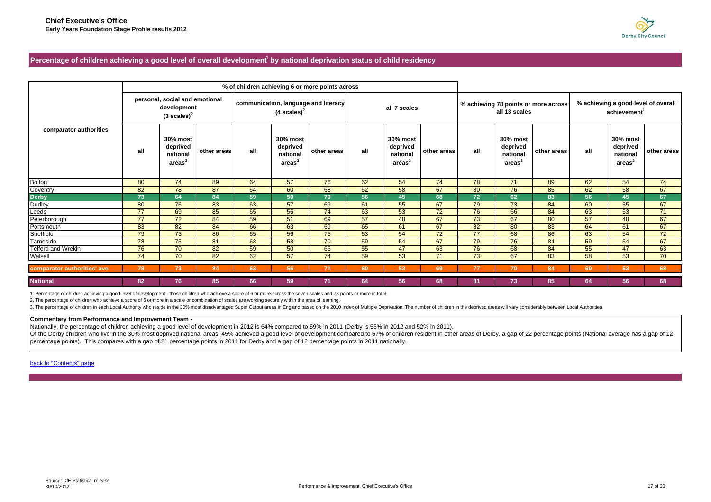

#### <span id="page-16-0"></span>Percentage of children achieving a good level of overall development<sup>1</sup> by national deprivation status of child residency

|                             |     |                                                                         |             | % of children achieving 6 or more points across |                                                       |                                      |     |                                                       |             |     |                                                        |                                      |                                                                 |                                                        |             |
|-----------------------------|-----|-------------------------------------------------------------------------|-------------|-------------------------------------------------|-------------------------------------------------------|--------------------------------------|-----|-------------------------------------------------------|-------------|-----|--------------------------------------------------------|--------------------------------------|-----------------------------------------------------------------|--------------------------------------------------------|-------------|
|                             |     | personal, social and emotional<br>development<br>$(3 \text{ scales})^2$ |             |                                                 | $(4 \text{ scales})^2$                                | communication, language and literacy |     | all 7 scales                                          |             |     | all 13 scales                                          | % achieving 78 points or more across | % achieving a good level of overall<br>achievement <sup>1</sup> |                                                        |             |
| comparator authorities      | all | 30% most<br>deprived<br>national<br>area <sup>3</sup>                   | other areas | all                                             | 30% most<br>deprived<br>national<br>area <sup>3</sup> | other areas                          | all | 30% most<br>deprived<br>national<br>area <sup>3</sup> | other areas | all | 30% most<br>deprived<br>national<br>areas <sup>3</sup> | other areas                          | all                                                             | 30% most<br>deprived<br>national<br>areas <sup>3</sup> | other areas |
| <b>Bolton</b>               | 80  | 74                                                                      | 89          | 64                                              | 57                                                    | 76                                   | 62  | 54                                                    | 74          | 78  | 71                                                     | 89                                   | 62                                                              | 54                                                     | 74          |
| Coventry                    | 82  | 78                                                                      | 87          | 64                                              | 60                                                    | 68                                   | 62  | 58                                                    | 67          | 80  | 76                                                     | 85                                   | 62                                                              | 58                                                     | 67          |
| <b>Derby</b>                | 73  | 64                                                                      | 84          | 59                                              | 50                                                    | 70                                   | 56  | 45                                                    | 68          | 72  | 62                                                     | 83                                   | 56                                                              | 45                                                     | 67          |
| Dudley                      | 80  | 76                                                                      | 83          | 63                                              | 57                                                    | 69                                   | 61  | 55                                                    | 67          | 79  | 73                                                     | 84                                   | 60                                                              | 55                                                     | 67          |
| Leeds                       | 77  | 69                                                                      | 85          | 65                                              | 56                                                    | 74                                   | 63  | 53                                                    | 72          | 76  | 66                                                     | 84                                   | 63                                                              | 53                                                     | 71          |
| Peterborough                | 77  | 72                                                                      | 84          | 59                                              | 51                                                    | 69                                   | 57  | 48                                                    | 67          | 73  | 67                                                     | 80                                   | 57                                                              | 48                                                     | 67          |
| Portsmouth                  | 83  | 82                                                                      | 84          | 66                                              | 63                                                    | 69                                   | 65  | 61                                                    | 67          | 82  | 80                                                     | 83                                   | 64                                                              | 61                                                     | 67          |
| Sheffield                   | 79  | 73                                                                      | 86          | 65                                              | 56                                                    | 75                                   | 63  | 54                                                    | 72          | 77  | 68                                                     | 86                                   | 63                                                              | 54                                                     | 72          |
| Tameside                    | 78  | 75                                                                      | 81          | 63                                              | 58                                                    | 70                                   | 59  | 54                                                    | 67          | 79  | 76                                                     | 84                                   | 59                                                              | 54                                                     | 67          |
| Telford and Wrekin          | 76  | 70                                                                      | 82          | 59                                              | 50                                                    | 66                                   | 55  | 47                                                    | 63          | 76  | 68                                                     | 84                                   | 55                                                              | 47                                                     | 63          |
| Walsall                     | 74  | 70                                                                      | 82          | 62                                              | 57                                                    | 74                                   | 59  | 53                                                    | 71          | 73  | 67                                                     | 83                                   | 58                                                              | 53                                                     | 70          |
| comparator authorities' ave | 78  | 73                                                                      | 84          | 63                                              | 56                                                    | 71                                   | 60  | 53                                                    | 69          | 77  | 70                                                     | 84                                   | 60                                                              | 53                                                     | 68          |
| <b>National</b>             | 82  | 76                                                                      | 85          | 66                                              | 59                                                    | 71                                   | 64  | 56                                                    | 68          | 81  | 73                                                     | 85                                   | 64                                                              | 56                                                     | 68          |

1. Percentage of children achieving a good level of development - those children who achieve a score of 6 or more across the seven scales and 78 points or more in total.

2. The percentage of children who achieve a score of 6 or more in a scale or combination of scales are working securely within the area of learning.

3. The percentage of children in each Local Authority who reside in the 30% most disadvantaged Super Output areas in England based on the 2010 Index of Multiple Deprivation. The number of children in the deprived areas wil

#### **Commentary from Performance and Improvement Team -**

Nationally, the percentage of children achieving a good level of development in 2012 is 64% compared to 59% in 2011 (Derby is 56% in 2012 and 52% in 2011).

Of the Derby children who live in the 30% most deprived national areas, 45% achieved a good level of development compared to 67% of children resident in other areas of Derby, a gap of 22 percentage points (National average percentage points). This compares with a gap of 21 percentage points in 2011 for Derby and a gap of 12 percentage points in 2011 nationally.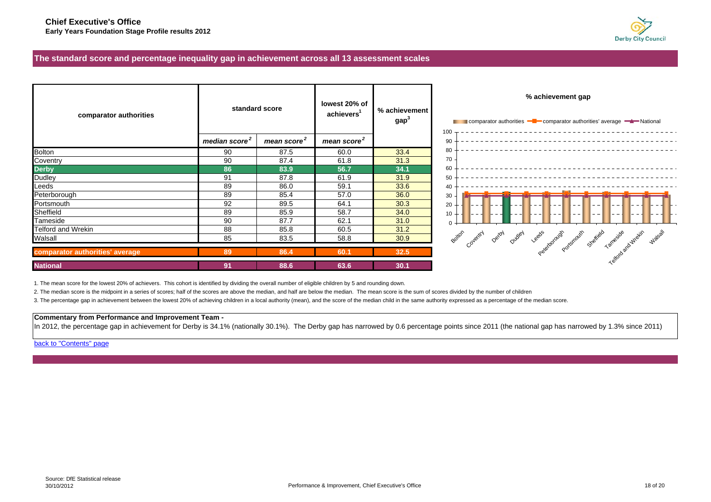

 $- - - - -$ 

#### <span id="page-17-0"></span>**The standard score and percentage inequality gap in achievement across all 13 assessment scales**

| comparator authorities          |                           | standard score          | lowest 20% of<br>achievers <sup>1</sup> | % achievement<br>gap <sup>3</sup> | % achievement gap<br>comparator authorities - comparator authorities' average - National           |
|---------------------------------|---------------------------|-------------------------|-----------------------------------------|-----------------------------------|----------------------------------------------------------------------------------------------------|
|                                 | median score <sup>2</sup> | mean score <sup>2</sup> | mean score <sup>2</sup>                 |                                   | 100<br>90                                                                                          |
| <b>Bolton</b>                   | 90                        | 87.5                    | 60.0                                    | 33.4                              | 80                                                                                                 |
| Coventry                        | 90                        | 87.4                    | 61.8                                    | 31.3                              | 70                                                                                                 |
| <b>Derby</b>                    | 86                        | 83.9                    | 56.7                                    | 34.1                              | 60                                                                                                 |
| Dudley                          | 91                        | 87.8                    | 61.9                                    | 31.9                              | 50                                                                                                 |
| Leeds                           | 89                        | 86.0                    | 59.1                                    | 33.6                              | 40                                                                                                 |
| Peterborough                    | 89                        | 85.4                    | 57.0                                    | 36.0                              | 30                                                                                                 |
| Portsmouth                      | 92                        | 89.5                    | 64.1                                    | 30.3                              | 20                                                                                                 |
| Sheffield                       | 89                        | 85.9                    | 58.7                                    | 34.0                              | 10                                                                                                 |
| Tameside                        | 90                        | 87.7                    | 62.1                                    | 31.0                              |                                                                                                    |
| <b>Telford and Wrekin</b>       | 88                        | 85.8                    | 60.5                                    | 31.2                              |                                                                                                    |
| Walsall                         | 85                        | 83.5                    | 58.8                                    | 30.9                              | Duden veeds download ordering shelted<br><b>Watsalt</b><br>Botton<br>Tameside<br>Detay<br>Coveniny |
| comparator authorities' average | 89                        | 86.4                    | 60.1                                    | 32.5                              | Telepoole and Week!                                                                                |
| <b>National</b>                 | 91                        | 88.6                    | 63.6                                    | 30.1                              |                                                                                                    |

1. The mean score for the lowest 20% of achievers. This cohort is identified by dividing the overall number of eligible children by 5 and rounding down.

2. The median score is the midpoint in a series of scores; half of the scores are above the median, and half are below the median. The mean score is the sum of scores divided by the number of children

3. The percentage gap in achievement between the lowest 20% of achieving children in a local authority (mean), and the score of the median child in the same authority expressed as a percentage of the median score.

#### **Commentary from Performance and Improvement Team -**

In 2012, the percentage gap in achievement for Derby is 34.1% (nationally 30.1%). The Derby gap has narrowed by 0.6 percentage points since 2011 (the national gap has narrowed by 1.3% since 2011)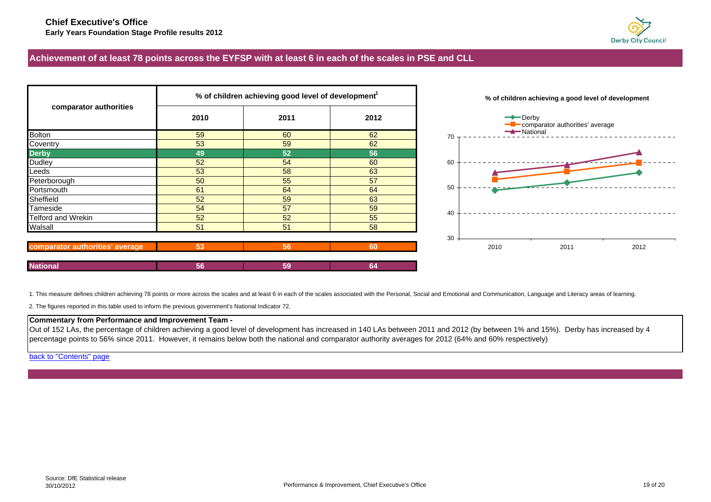

## <span id="page-18-0"></span>**Achievement of at least 78 points across the EYFSP with at least 6 in each of the scales in PSE and CLL**

|                                 |      | % of children achieving good level of development <sup>1</sup> |      | % of children achieving a good level of development    |
|---------------------------------|------|----------------------------------------------------------------|------|--------------------------------------------------------|
| comparator authorities          | 2010 | 2011                                                           | 2012 | $\rightarrow$ Derby<br>comparator authorities' average |
| <b>Bolton</b>                   | 59   | 60                                                             | 62   | National<br>70                                         |
| Coventry                        | 53   | 59                                                             | 62   |                                                        |
| <b>Derby</b>                    | 49   | 52                                                             | 56   |                                                        |
| <b>Dudley</b>                   | 52   | 54                                                             | 60   | 60                                                     |
| Leeds                           | 53   | 58                                                             | 63   |                                                        |
| Peterborough                    | 50   | 55                                                             | 57   |                                                        |
| Portsmouth                      | 61   | 64                                                             | 64   | 50                                                     |
| Sheffield                       | 52   | 59                                                             | 63   |                                                        |
| Tameside                        | 54   | 57                                                             | 59   | 40                                                     |
| <b>Telford and Wrekin</b>       | 52   | 52                                                             | 55   |                                                        |
| Walsall                         | 51   | 51                                                             | 58   |                                                        |
|                                 |      |                                                                |      | 30                                                     |
| comparator authorities' average | 53   | 56                                                             | 60   | 2010<br>2011<br>2012                                   |
| <b>National</b>                 | 56   | 59                                                             | 64   |                                                        |





1. This measure defines children achieving 78 points or more across the scales and at least 6 in each of the scales associated with the Personal, Social and Emotional and Communication, Language and Literacy areas of learn

2. The figures reported in this table used to inform the previous government's National Indicator 72.

## **Commentary from Performance and Improvement Team -**

Out of 152 LAs, the percentage of children achieving a good level of development has increased in 140 LAs between 2011 and 2012 (by between 1% and 15%). Derby has increased by 4 percentage points to 56% since 2011. However, it remains below both the national and comparator authority averages for 2012 (64% and 60% respectively)